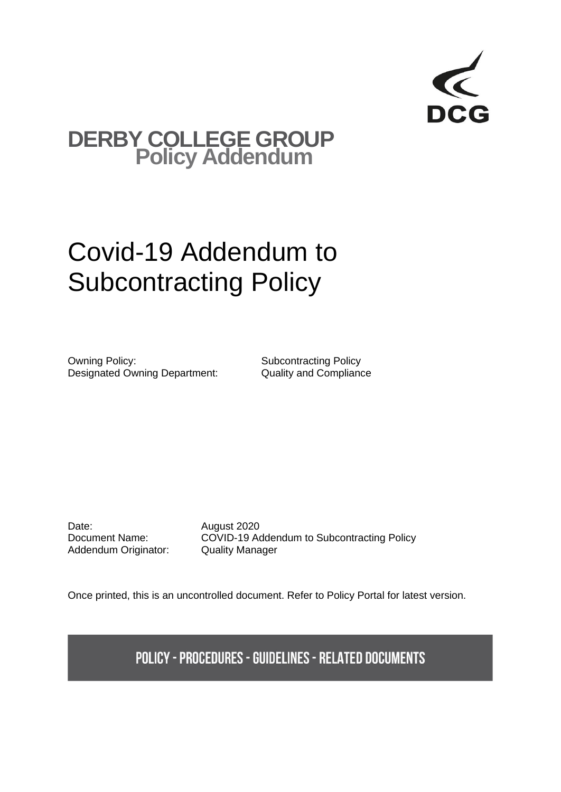

## **DERBY COLLEGE GROUP Policy Addendum**

## Covid-19 Addendum to Subcontracting Policy

Owning Policy: Subcontracting Policy Designated Owning Department: Quality and Compliance

Date: **August 2020** Addendum Originator: Quality Manager

Document Name: COVID-19 Addendum to Subcontracting Policy

Once printed, this is an uncontrolled document. Refer to Policy Portal for latest version.

**POLICY - PROCEDURES - GUIDELINES - RELATED DOCUMENTS**